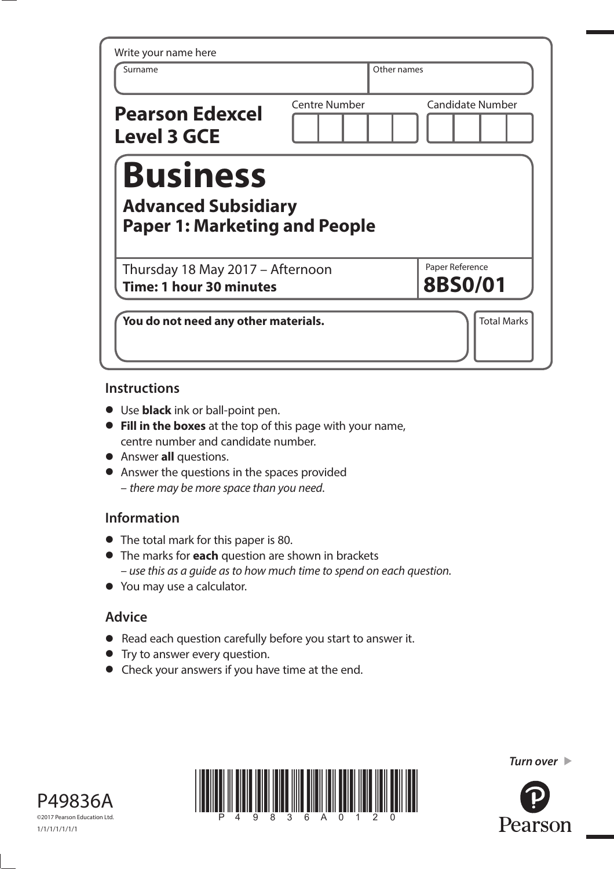| Surname                                                            | Other names          |                            |
|--------------------------------------------------------------------|----------------------|----------------------------|
| <b>Pearson Edexcel</b><br><b>Level 3 GCE</b>                       | <b>Centre Number</b> | <b>Candidate Number</b>    |
| <b>Business</b>                                                    |                      |                            |
| <b>Advanced Subsidiary</b><br><b>Paper 1: Marketing and People</b> |                      |                            |
| Thursday 18 May 2017 - Afternoon<br>Time: 1 hour 30 minutes        |                      | Paper Reference<br>8BS0/01 |

## **Instructions**

- **•** Use **black** ink or ball-point pen.
- **• Fill in the boxes** at the top of this page with your name, centre number and candidate number.
- **•** Answer **all** questions.
- **•** Answer the questions in the spaces provided – there may be more space than you need.

# **Information**

- **•** The total mark for this paper is 80.
- **•** The marks for **each** question are shown in brackets – use this as a guide as to how much time to spend on each question.
- **•** You may use a calculator.

# **Advice**

- **•** Read each question carefully before you start to answer it.
- **•** Try to answer every question.
- **•** Check your answers if you have time at the end.







Pearson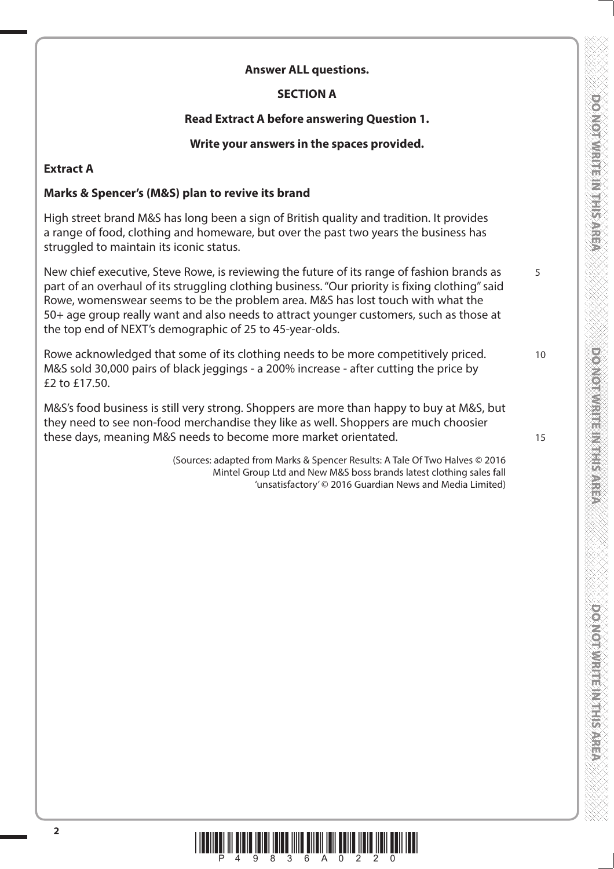## **Answer ALL questions.**

#### **SECTION A**

## **Read Extract A before answering Question 1.**

#### **Write your answers in the spaces provided.**

#### **Extract A**

## **Marks & Spencer's (M&S) plan to revive its brand**

High street brand M&S has long been a sign of British quality and tradition. It provides a range of food, clothing and homeware, but over the past two years the business has struggled to maintain its iconic status.

New chief executive, Steve Rowe, is reviewing the future of its range of fashion brands as part of an overhaul of its struggling clothing business. "Our priority is fixing clothing" said Rowe, womenswear seems to be the problem area. M&S has lost touch with what the 50+ age group really want and also needs to attract younger customers, such as those at the top end of NEXT's demographic of 25 to 45-year-olds.

Rowe acknowledged that some of its clothing needs to be more competitively priced. M&S sold 30,000 pairs of black jeggings - a 200% increase - after cutting the price by £2 to £17.50.

M&S's food business is still very strong. Shoppers are more than happy to buy at M&S, but they need to see non-food merchandise they like as well. Shoppers are much choosier these days, meaning M&S needs to become more market orientated.

> (Sources: adapted from Marks & Spencer Results: A Tale Of Two Halves © 2016 Mintel Group Ltd and New M&S boss brands latest clothing sales fall 'unsatisfactory' © 2016 Guardian News and Media Limited)

5

**DOMORATIVE IN THE MARKET** 

**DOOMORAL RESERVED IS A FEMALE** 

**DO NOT WRITE IN THIS AREA** 

 $1<sub>0</sub>$ 

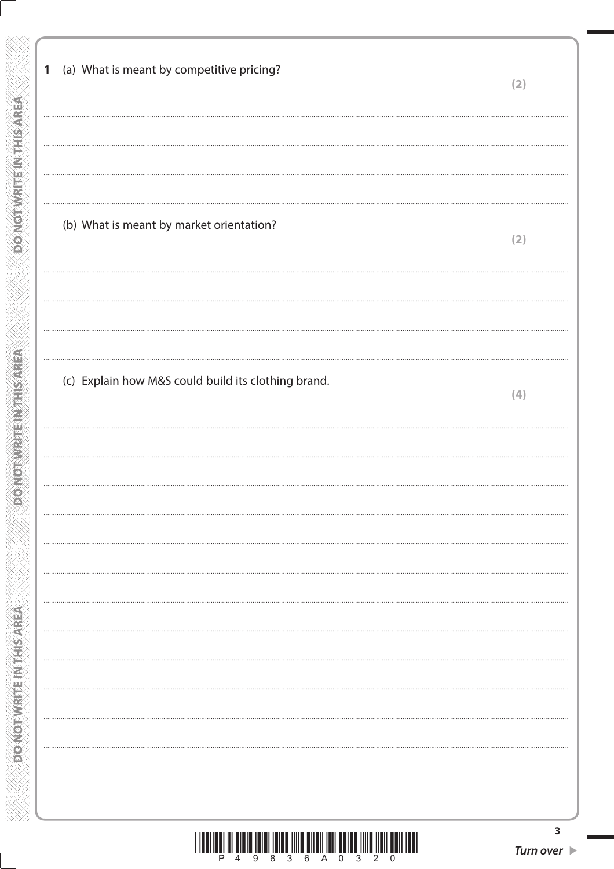| $\mathbf{1}$ | (a) What is meant by competitive pricing?           | (2) |
|--------------|-----------------------------------------------------|-----|
|              | (b) What is meant by market orientation?            | (2) |
|              | (c) Explain how M&S could build its clothing brand. | (4) |
|              |                                                     |     |
|              |                                                     |     |
|              |                                                     |     |
|              |                                                     |     |

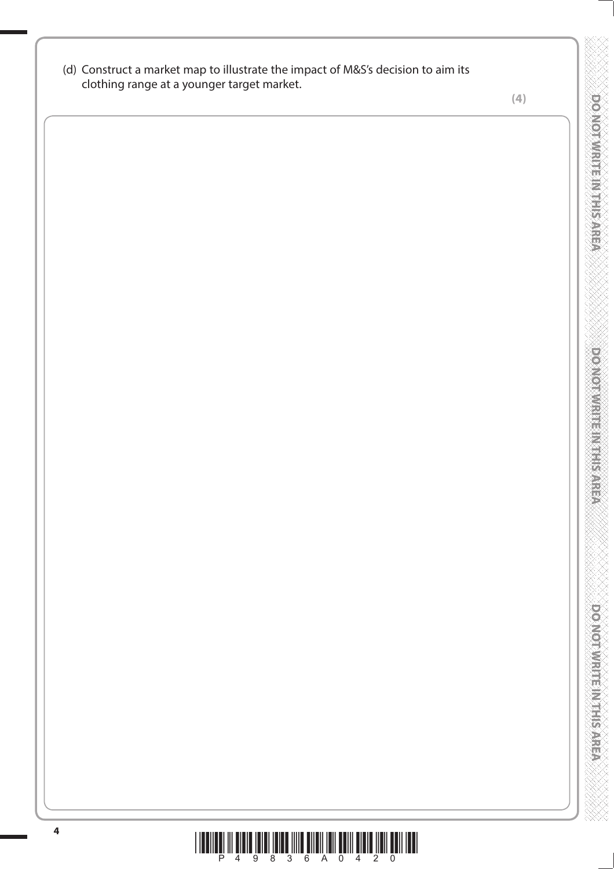| (d) Construct a market map to illustrate the impact of M&S's decision to aim its |
|----------------------------------------------------------------------------------|
| clothing range at a younger target market.                                       |

K)<br>K

DO NOT WRITE IN THIS AREA

**DONOTAMENT HIS AREA** 

XXXXXX

DO NOTWRITE IN THIS AREA

XXX

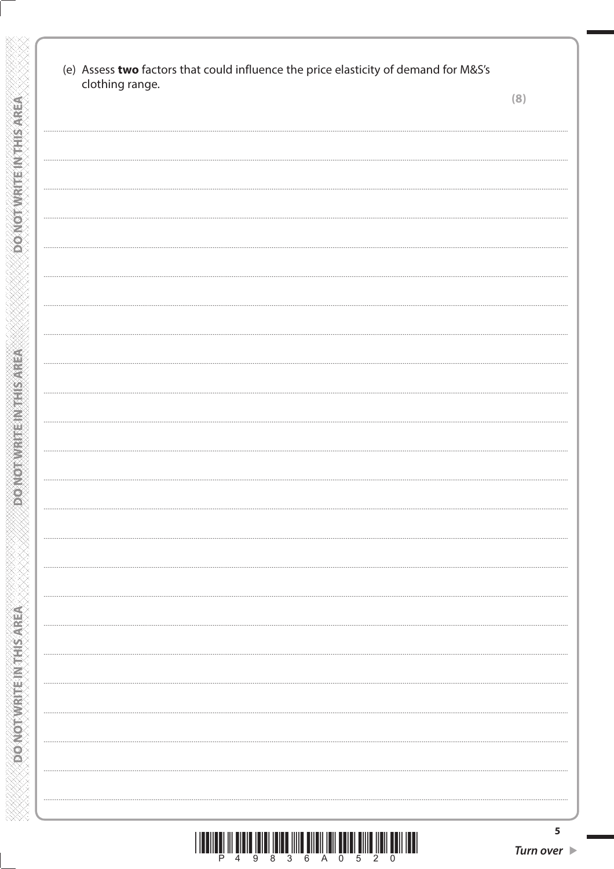**DONOT WRITE INTHIS AREA** 

**DO NOT WRITE INTHIS AREA** 

**DO NOT WRITE IN THIS AREA**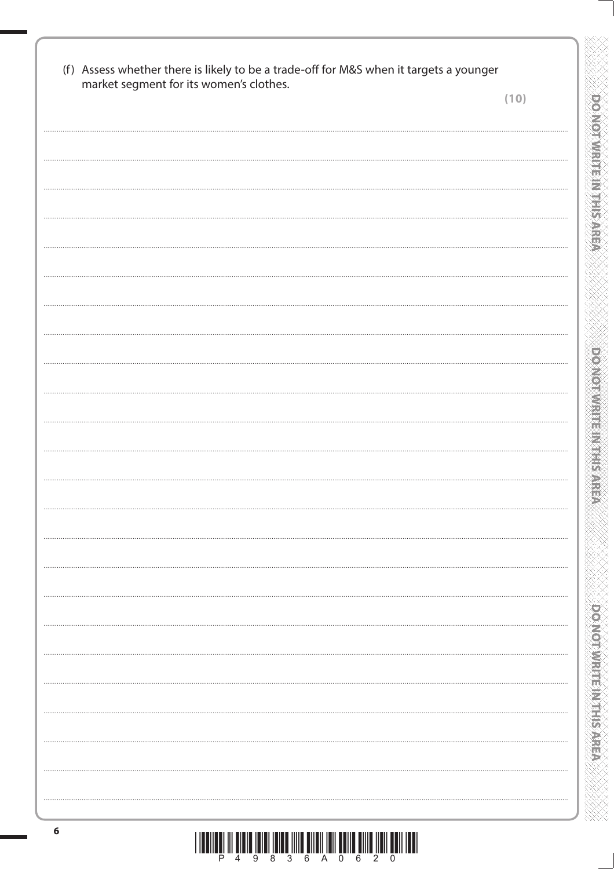| (10) |
|------|
|      |
|      |
|      |
|      |
|      |
|      |
|      |
|      |
|      |
|      |
|      |
|      |
|      |
|      |
|      |
|      |
|      |
|      |
|      |
|      |
|      |
|      |
|      |
|      |
|      |
|      |
|      |
|      |
|      |
|      |
|      |
|      |
|      |
|      |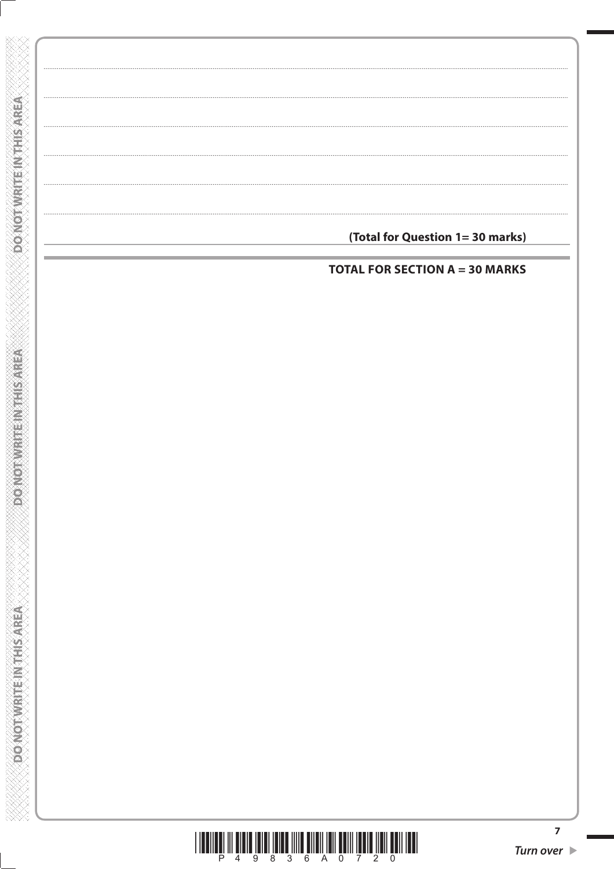| <b>DO NOT WRITE NTHSAREA</b>     |                                       |
|----------------------------------|---------------------------------------|
|                                  |                                       |
|                                  |                                       |
|                                  |                                       |
|                                  |                                       |
|                                  |                                       |
|                                  |                                       |
|                                  |                                       |
|                                  |                                       |
|                                  |                                       |
|                                  |                                       |
|                                  |                                       |
|                                  |                                       |
|                                  |                                       |
|                                  | (Total for Question 1= 30 marks)      |
|                                  |                                       |
|                                  |                                       |
|                                  |                                       |
|                                  | <b>TOTAL FOR SECTION A = 30 MARKS</b> |
|                                  |                                       |
|                                  |                                       |
|                                  |                                       |
|                                  |                                       |
|                                  |                                       |
|                                  |                                       |
|                                  |                                       |
|                                  |                                       |
|                                  |                                       |
|                                  |                                       |
|                                  |                                       |
|                                  |                                       |
|                                  |                                       |
|                                  |                                       |
|                                  |                                       |
| <b>RELIGION CONTROL</b>          |                                       |
|                                  |                                       |
|                                  |                                       |
|                                  |                                       |
|                                  |                                       |
|                                  |                                       |
|                                  |                                       |
|                                  |                                       |
|                                  |                                       |
|                                  |                                       |
|                                  |                                       |
|                                  |                                       |
| Õ                                |                                       |
|                                  |                                       |
|                                  |                                       |
|                                  |                                       |
|                                  |                                       |
|                                  |                                       |
|                                  |                                       |
|                                  |                                       |
|                                  |                                       |
|                                  |                                       |
|                                  |                                       |
|                                  |                                       |
| <b>DO NOT WRITE IN THIS AREA</b> |                                       |
|                                  |                                       |
|                                  |                                       |
|                                  |                                       |
|                                  |                                       |
|                                  |                                       |
|                                  |                                       |
|                                  |                                       |
|                                  |                                       |
|                                  |                                       |
|                                  |                                       |
|                                  |                                       |
|                                  |                                       |
|                                  |                                       |
|                                  |                                       |
|                                  |                                       |
|                                  |                                       |
|                                  |                                       |
|                                  |                                       |
|                                  |                                       |
|                                  |                                       |
|                                  |                                       |
|                                  |                                       |
|                                  |                                       |
|                                  |                                       |
|                                  |                                       |



 $\overline{7}$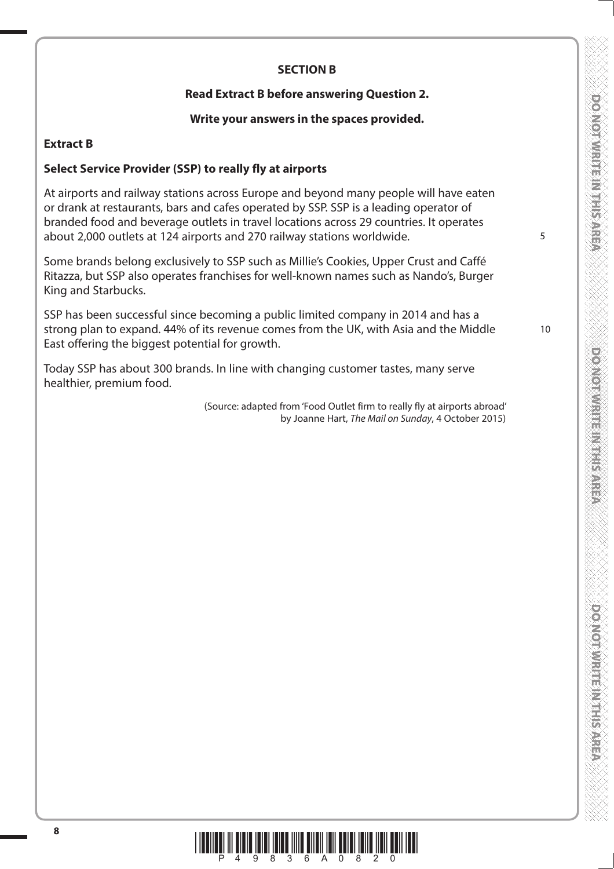## **SECTION B**

# **Read Extract B before answering Question 2.**

## **Write your answers in the spaces provided.**

## **Extract B**

# **Select Service Provider (SSP) to really fly at airports**

At airports and railway stations across Europe and beyond many people will have eaten or drank at restaurants, bars and cafes operated by SSP. SSP is a leading operator of branded food and beverage outlets in travel locations across 29 countries. It operates about 2,000 outlets at 124 airports and 270 railway stations worldwide.

Some brands belong exclusively to SSP such as Millie's Cookies, Upper Crust and Caffé Ritazza, but SSP also operates franchises for well-known names such as Nando's, Burger King and Starbucks.

SSP has been successful since becoming a public limited company in 2014 and has a strong plan to expand. 44% of its revenue comes from the UK, with Asia and the Middle East offering the biggest potential for growth.

Today SSP has about 300 brands. In line with changing customer tastes, many serve healthier, premium food.

> (Source: adapted from 'Food Outlet firm to really fly at airports abroad' by Joanne Hart, The Mail on Sunday, 4 October 2015)



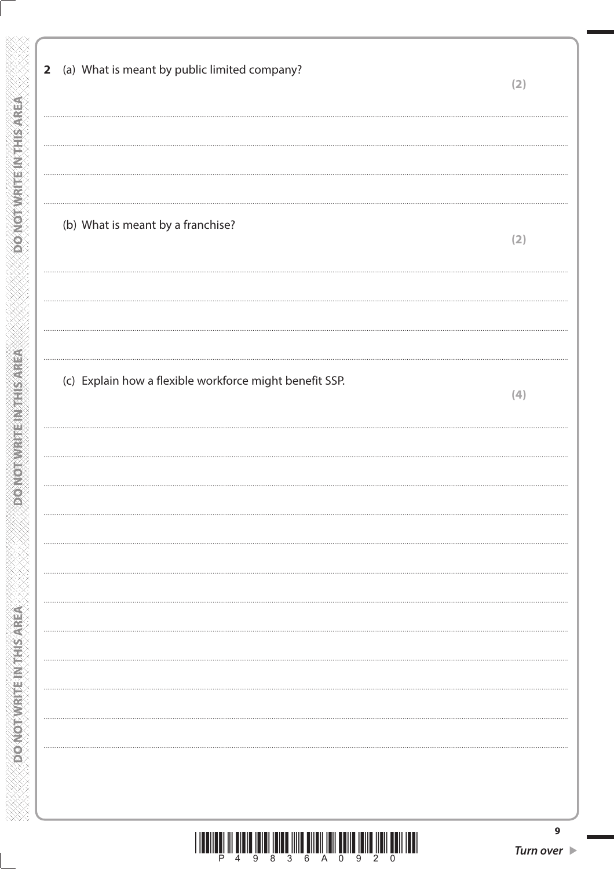| 2 (a) What is meant by public limited company?          | (2) |
|---------------------------------------------------------|-----|
|                                                         |     |
| (b) What is meant by a franchise?                       | (2) |
| (c) Explain how a flexible workforce might benefit SSP. | (4) |
|                                                         |     |
|                                                         |     |
|                                                         |     |
|                                                         |     |
|                                                         |     |

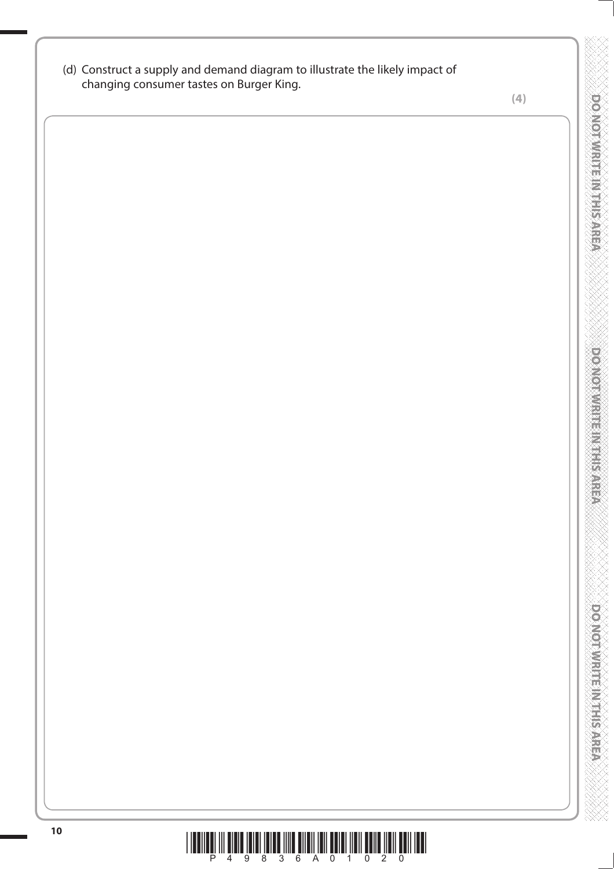| (d) Construct a supply and demand diagram to illustrate the likely impact of |
|------------------------------------------------------------------------------|
| changing consumer tastes on Burger King.                                     |

XX.

XXXXX

 $\stackrel{\times}{\scriptstyle\!\times}$ 

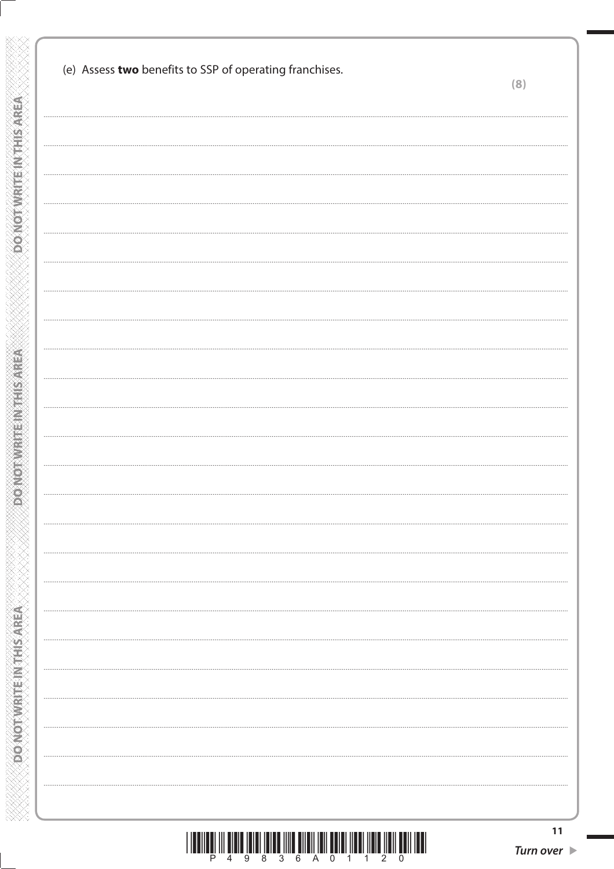|                                 | (e) Assess two benefits to SSP of operating franchises. | (8) |
|---------------------------------|---------------------------------------------------------|-----|
|                                 |                                                         |     |
| <b>DO NOT WRITE INTHIS AREA</b> |                                                         |     |
|                                 |                                                         |     |
|                                 |                                                         |     |
|                                 |                                                         |     |
|                                 |                                                         |     |
|                                 |                                                         |     |
|                                 |                                                         |     |
|                                 |                                                         |     |
|                                 |                                                         |     |
|                                 |                                                         |     |
|                                 |                                                         |     |
|                                 |                                                         |     |
|                                 |                                                         |     |
| <b>POSTORY CONTRACTOR</b>       |                                                         |     |
|                                 |                                                         |     |
|                                 |                                                         |     |
|                                 |                                                         |     |
|                                 |                                                         |     |
|                                 |                                                         |     |
|                                 |                                                         |     |
|                                 |                                                         |     |
|                                 |                                                         |     |
|                                 |                                                         |     |
|                                 |                                                         |     |
| <b>DO NOT WRITEIN THIS AREA</b> |                                                         |     |
|                                 |                                                         |     |
|                                 |                                                         |     |
|                                 |                                                         | 11  |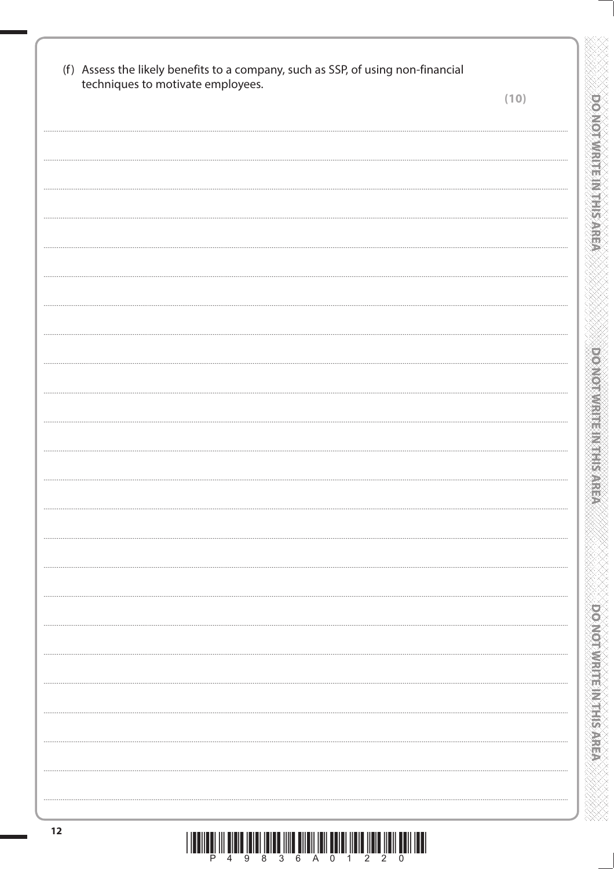| techniques to motivate employees. | (f) Assess the likely benefits to a company, such as SSP, of using non-financial |      |
|-----------------------------------|----------------------------------------------------------------------------------|------|
|                                   |                                                                                  | (10) |
|                                   |                                                                                  |      |
|                                   |                                                                                  |      |
|                                   |                                                                                  |      |
|                                   |                                                                                  |      |
|                                   |                                                                                  |      |
|                                   |                                                                                  |      |
|                                   |                                                                                  |      |
|                                   |                                                                                  |      |
|                                   |                                                                                  |      |
|                                   |                                                                                  |      |
|                                   |                                                                                  |      |
|                                   |                                                                                  |      |
|                                   |                                                                                  |      |
|                                   |                                                                                  |      |
|                                   |                                                                                  |      |
|                                   |                                                                                  |      |
|                                   |                                                                                  |      |
|                                   |                                                                                  |      |
|                                   |                                                                                  |      |
|                                   |                                                                                  |      |
|                                   |                                                                                  |      |
|                                   |                                                                                  |      |
|                                   |                                                                                  |      |
|                                   |                                                                                  |      |
|                                   |                                                                                  |      |
|                                   |                                                                                  |      |
|                                   |                                                                                  |      |
|                                   |                                                                                  |      |
|                                   |                                                                                  |      |
|                                   |                                                                                  |      |
|                                   |                                                                                  |      |
|                                   |                                                                                  |      |
|                                   |                                                                                  |      |
|                                   |                                                                                  |      |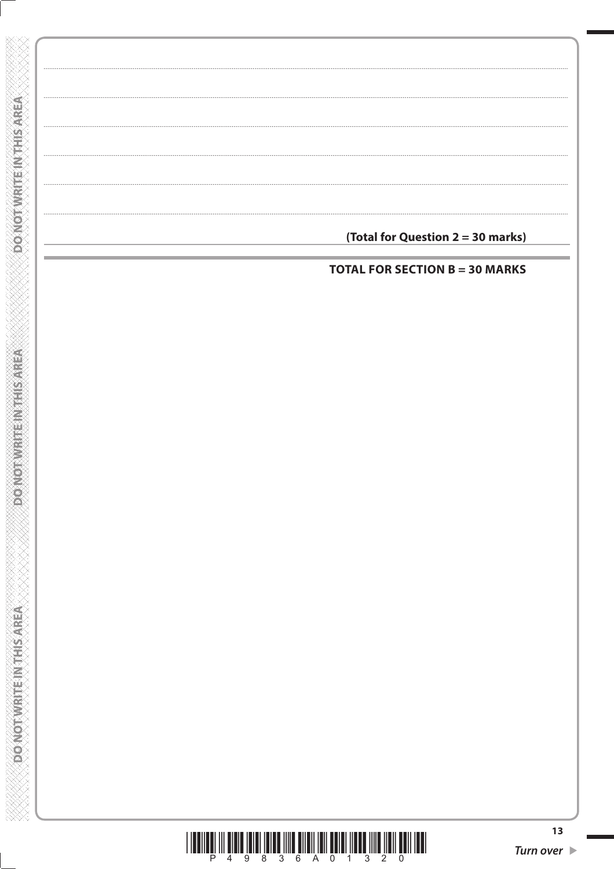|                                | $\cdots$                              |
|--------------------------------|---------------------------------------|
|                                |                                       |
|                                |                                       |
|                                | (Total for Question 2 = 30 marks)     |
| <b>DOMOTAWRIEN MTHSAREA</b>    |                                       |
|                                |                                       |
|                                |                                       |
|                                | <b>TOTAL FOR SECTION B = 30 MARKS</b> |
|                                |                                       |
|                                |                                       |
|                                |                                       |
|                                |                                       |
|                                |                                       |
|                                |                                       |
|                                |                                       |
|                                |                                       |
|                                |                                       |
|                                |                                       |
| <b>CONTRACTOR</b>              |                                       |
|                                |                                       |
|                                |                                       |
|                                |                                       |
|                                |                                       |
|                                |                                       |
|                                |                                       |
|                                |                                       |
|                                |                                       |
|                                |                                       |
|                                |                                       |
|                                |                                       |
|                                |                                       |
|                                |                                       |
|                                |                                       |
|                                |                                       |
|                                |                                       |
|                                |                                       |
|                                |                                       |
| Ă                              |                                       |
|                                |                                       |
|                                |                                       |
|                                |                                       |
|                                |                                       |
|                                |                                       |
|                                |                                       |
|                                |                                       |
|                                |                                       |
|                                |                                       |
|                                |                                       |
|                                |                                       |
|                                |                                       |
|                                |                                       |
|                                |                                       |
|                                |                                       |
|                                |                                       |
|                                |                                       |
|                                |                                       |
|                                |                                       |
|                                |                                       |
|                                |                                       |
|                                |                                       |
|                                |                                       |
|                                |                                       |
|                                |                                       |
|                                |                                       |
|                                |                                       |
| <b>DO NOTWRITE INTHIS AREA</b> |                                       |
|                                |                                       |
|                                |                                       |
|                                |                                       |
|                                |                                       |
|                                |                                       |
|                                |                                       |
|                                |                                       |
|                                |                                       |
|                                |                                       |
|                                |                                       |

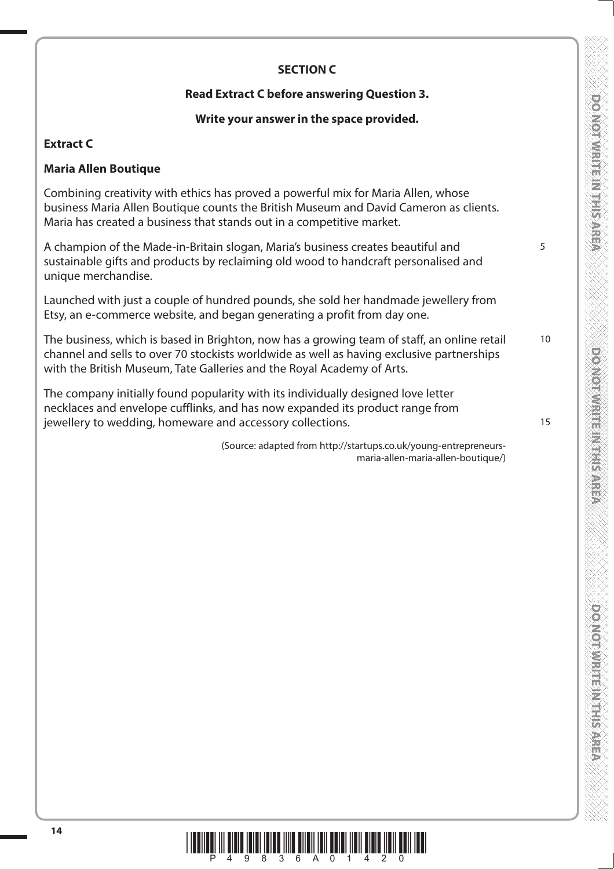# **SECTION C**

# **Read Extract C before answering Question 3.**

#### **Write your answer in the space provided.**

## **Extract C**

## **Maria Allen Boutique**

Combining creativity with ethics has proved a powerful mix for Maria Allen, whose business Maria Allen Boutique counts the British Museum and David Cameron as clients. Maria has created a business that stands out in a competitive market.

A champion of the Made-in-Britain slogan, Maria's business creates beautiful and sustainable gifts and products by reclaiming old wood to handcraft personalised and unique merchandise.

Launched with just a couple of hundred pounds, she sold her handmade jewellery from Etsy, an e-commerce website, and began generating a profit from day one.

The business, which is based in Brighton, now has a growing team of staff, an online retail channel and sells to over 70 stockists worldwide as well as having exclusive partnerships with the British Museum, Tate Galleries and the Royal Academy of Arts.

The company initially found popularity with its individually designed love letter necklaces and envelope cufflinks, and has now expanded its product range from jewellery to wedding, homeware and accessory collections.

> (Source: adapted from http://startups.co.uk/young-entrepreneursmaria-allen-maria-allen-boutique/)

5

**DOMORATIVE IN THE MARKET** 

**DOOMORAL RESERVED IS A FEMALE** 

**DOMOTOWRITER/STEPS/2012** 

10

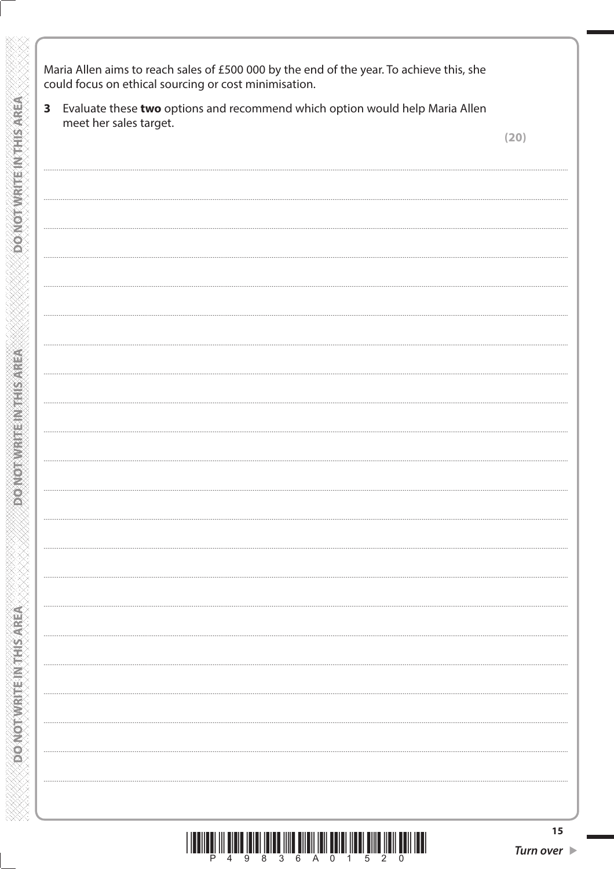| $\mathbf{3}$ | could focus on ethical sourcing or cost minimisation.<br>Evaluate these two options and recommend which option would help Maria Allen |      |
|--------------|---------------------------------------------------------------------------------------------------------------------------------------|------|
|              | meet her sales target.                                                                                                                | (20) |
|              |                                                                                                                                       |      |
|              |                                                                                                                                       |      |
|              |                                                                                                                                       |      |
|              |                                                                                                                                       |      |
|              |                                                                                                                                       |      |
|              |                                                                                                                                       |      |
|              |                                                                                                                                       |      |
|              |                                                                                                                                       |      |
|              |                                                                                                                                       |      |
|              |                                                                                                                                       |      |
|              |                                                                                                                                       |      |
|              |                                                                                                                                       |      |
|              |                                                                                                                                       |      |
|              |                                                                                                                                       |      |
|              |                                                                                                                                       |      |
|              |                                                                                                                                       |      |
|              |                                                                                                                                       |      |
|              |                                                                                                                                       |      |
|              |                                                                                                                                       |      |
|              |                                                                                                                                       |      |
|              |                                                                                                                                       |      |
|              |                                                                                                                                       |      |
|              |                                                                                                                                       |      |
|              |                                                                                                                                       |      |
|              |                                                                                                                                       |      |
|              |                                                                                                                                       |      |

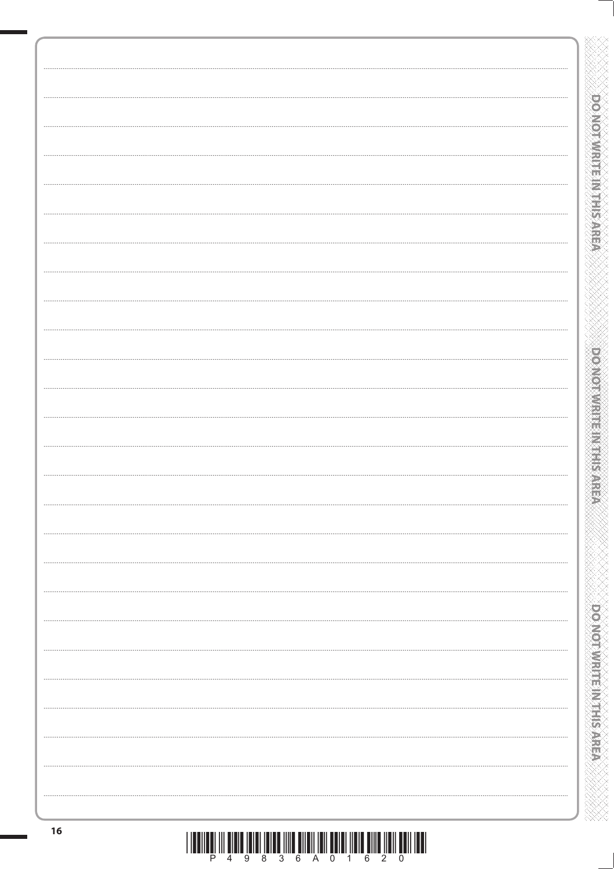|  |  | <b>PO NOTANRATE NATH SYRE</b> |
|--|--|-------------------------------|
|  |  |                               |
|  |  |                               |
|  |  | onomic text and text          |
|  |  |                               |
|  |  |                               |
|  |  | <b>DOMOTHER METHODS</b>       |
|  |  |                               |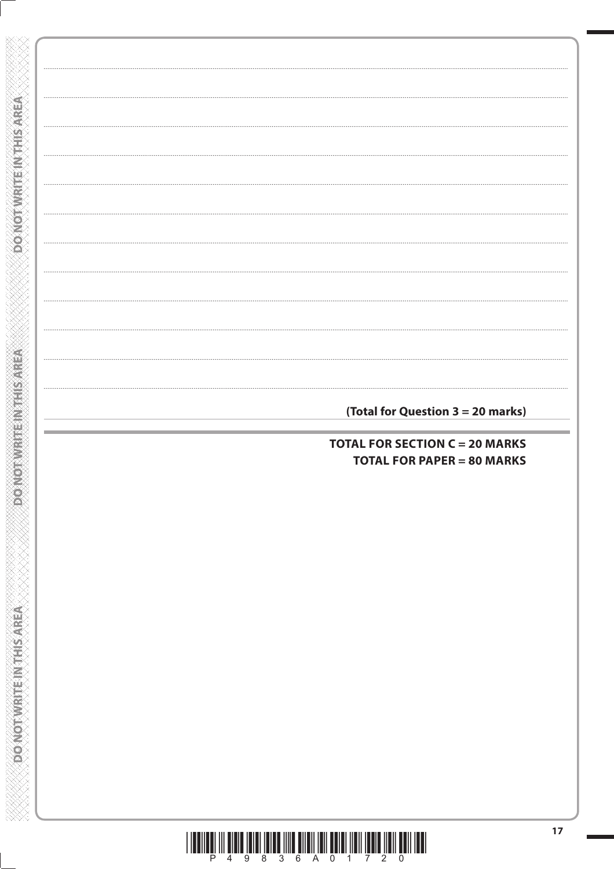| <b>DO MOTHMATH NATISAREA</b> |                                       |
|------------------------------|---------------------------------------|
|                              |                                       |
|                              |                                       |
|                              |                                       |
|                              |                                       |
|                              |                                       |
|                              |                                       |
|                              |                                       |
|                              |                                       |
|                              |                                       |
|                              |                                       |
|                              |                                       |
|                              |                                       |
|                              |                                       |
|                              |                                       |
|                              |                                       |
|                              |                                       |
|                              |                                       |
|                              |                                       |
|                              |                                       |
|                              |                                       |
|                              |                                       |
|                              |                                       |
|                              |                                       |
|                              |                                       |
|                              |                                       |
|                              |                                       |
|                              |                                       |
|                              |                                       |
|                              |                                       |
|                              |                                       |
|                              |                                       |
|                              |                                       |
|                              |                                       |
|                              |                                       |
|                              |                                       |
|                              |                                       |
|                              |                                       |
|                              |                                       |
|                              |                                       |
|                              |                                       |
|                              |                                       |
|                              |                                       |
|                              | (Total for Question 3 = 20 marks)     |
|                              |                                       |
|                              |                                       |
|                              |                                       |
|                              |                                       |
|                              |                                       |
|                              | <b>TOTAL FOR SECTION C = 20 MARKS</b> |
|                              |                                       |
|                              | <b>TOTAL FOR PAPER = 80 MARKS</b>     |
|                              |                                       |
| <b>TOTAL TEST PRODUCT</b>    |                                       |
|                              |                                       |
|                              |                                       |
|                              |                                       |
| Ã                            |                                       |
|                              |                                       |
|                              |                                       |
|                              |                                       |
|                              |                                       |
|                              |                                       |
|                              |                                       |
|                              |                                       |
|                              |                                       |
|                              |                                       |
|                              |                                       |
|                              |                                       |
|                              |                                       |
|                              |                                       |
|                              |                                       |
|                              |                                       |
|                              |                                       |
|                              |                                       |
|                              |                                       |
|                              |                                       |
|                              |                                       |
|                              |                                       |
|                              |                                       |
|                              |                                       |
|                              |                                       |
|                              |                                       |
|                              |                                       |
|                              |                                       |
|                              |                                       |
|                              |                                       |
|                              |                                       |
|                              |                                       |
|                              |                                       |
|                              |                                       |
| DO NOT WRITE IN THIS AREA    |                                       |
|                              |                                       |
|                              |                                       |
|                              |                                       |
|                              |                                       |
|                              |                                       |
|                              |                                       |
|                              |                                       |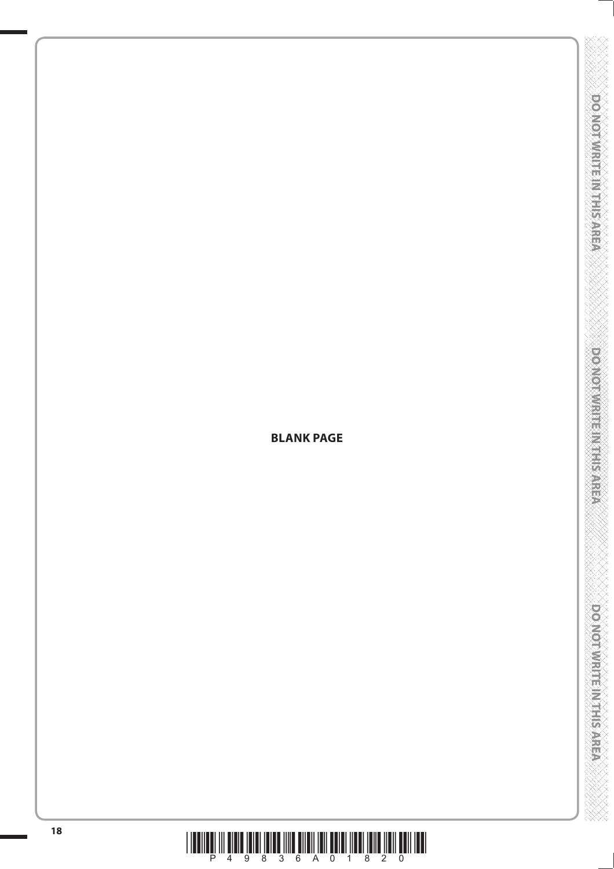

XXXXX



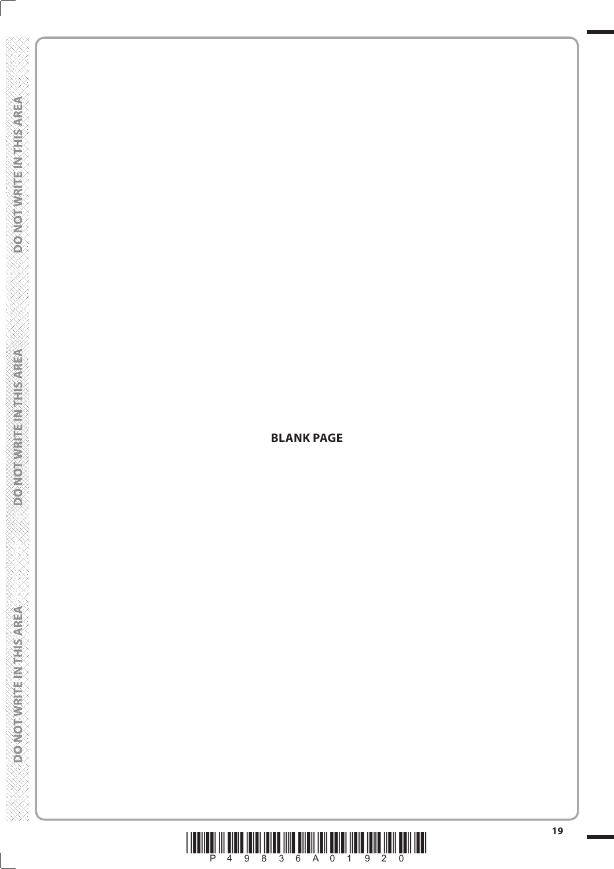

**DONOTWEIT NUTHSAREA** 

**BLANK PAGE**